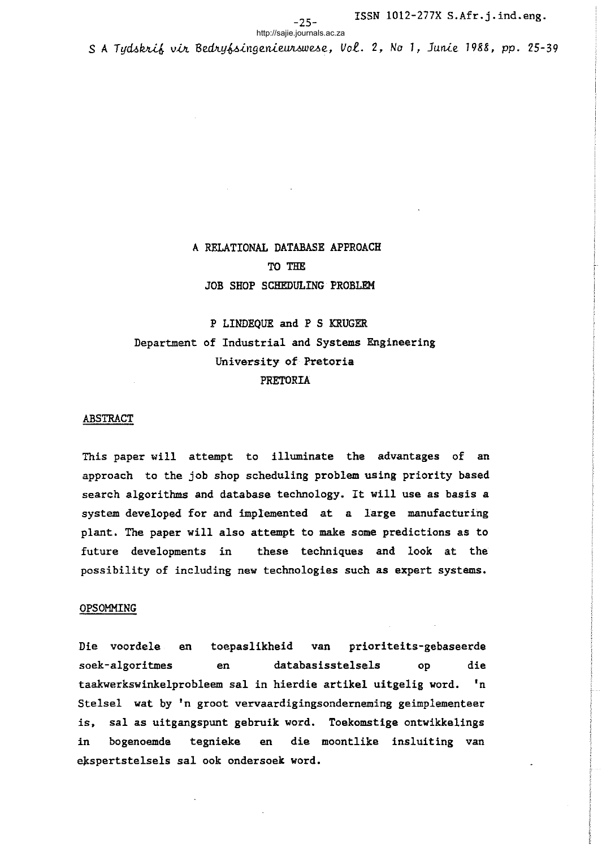http://sajie.journals.ac.za

S A Tydskrif vir Bedryfsingenieurswese, Vol. 2, No 1, Junie 1988, pp. 25-39

## A RELATIONAL DATABASE APPROACH TO THE JOB SHOP SCHEDULING PROBLEM

# P LINDEQUE and P S KRUGER Department of Industrial and Systems Engineering University of Pretoria PRETORIA

#### ABSTRACT

This paper will attempt to illuminate the advantages of an approach to the job shop scheduling problem using priority based search algorithms and database technology. It will use as basis <sup>a</sup> system developed for and implemented at a large manufacturing plant. The paper will also attempt to make some predictions as to future developments in these techniques and look at the possibility of including new technologies such as expert systems.

#### OPSOMMING

Die voordele en toepaslikheid van prioriteits-gebaseerde soek-algoritmes en databasisstelsels op die taakwerkswinkelprobleem sal in hierdie artikel uitgelig word. 'n Stelsel wat by 'n groot vervaardigingsonderneming geimplementeer is, sal as uitgangspunt gebruik word. Toekomstige ontwikkelings in bogenoemde tegnieke en die moontlike insluiting van ekspertstelsels sal ook ondersoek word.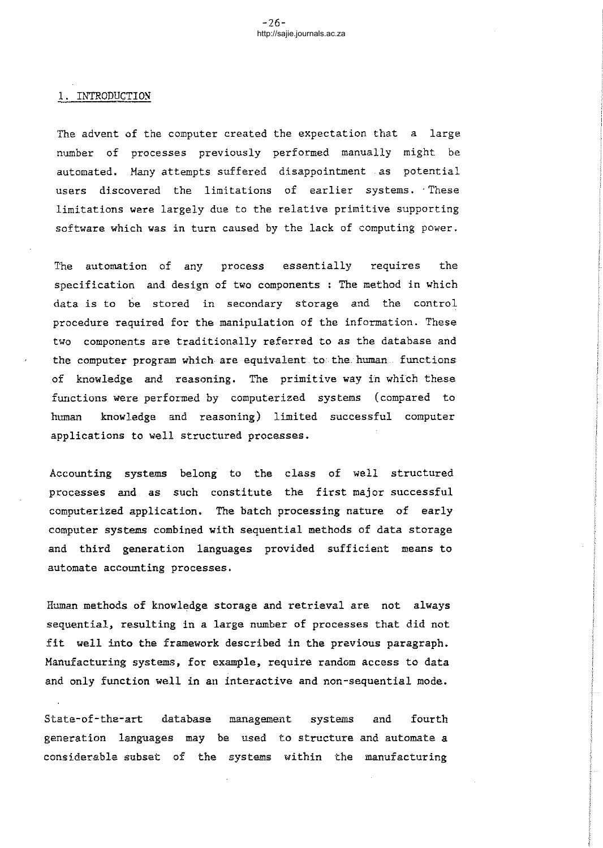#### 1. INTRODUCTION

The advent of the computer created the expectation that a large number of processes previously performed manually might be automated. Hany attempts suffered disappointment as potential users discovered the limitations of earlier systems. These limitations were largely due to the relative primitive supporting software which was in turn caused by the lack of computing power.

The automation of any process essentially requires the specification and design of two components : The method in which data is to be stored in secondary storage and the control procedure required for the manipulation of the information. These two components are traditionally referred to as the database and the computer program which are equivalent to the human functions of knowledge and reasoning. The primitive way in which these functions were performed by computerized systems (compared to human knowledge and reasoning) limited successful computer applications to well structured processes.

Accounting systems belong to the class of well structured processes and as such constitute the first major successful computerized application. The batch processing nature of early computer systems combined with sequential methods of data storage and third generation languages provided sufficient means to automate accounting processes.

Human methods of knowledge storage and retrieval are not always sequential, resulting in a large number of processes that did not fit well into the framework described in the previous paragraph. Hanufacturing systems, for example, require random access to data and only function well in an interactive and non-sequential mode.

State-of-the-art database generation languages may be used to structure and automate a considerable subset of the systems within the manufacturing management systems and fourth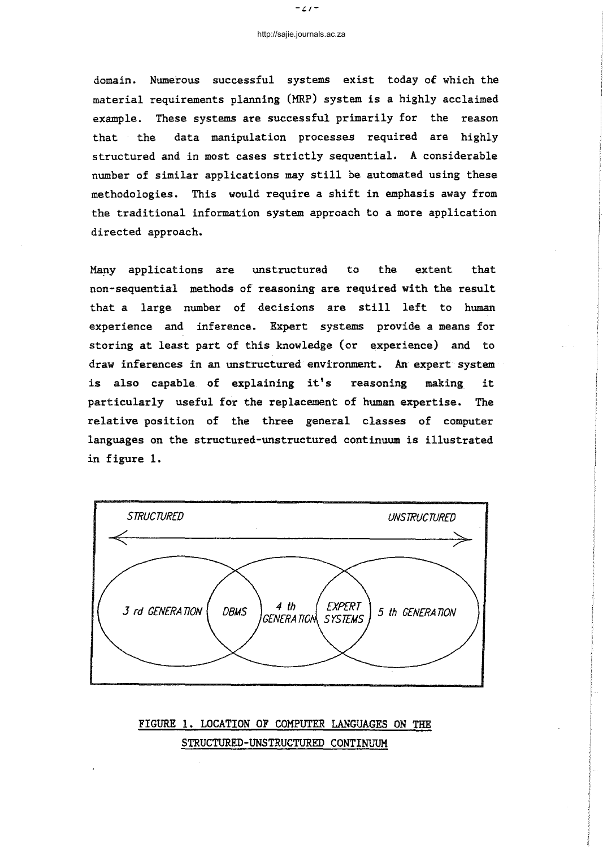domain. Numerous successful systems exist today of which the material requirements planning (MRP) system is a highly acclaimed example. These systems are successful primarily for the reason that the data manipulation processes required are highly structured and in most cases strictly sequential. A considerable number of similar applications may still be automated using these methodologies. This would require a shift in emphasis away from the traditional information system approach to a more application directed approach.

Many applications are unstructured to the extent that non-sequential methods of reasoning are required with the result that <sup>a</sup> large number of decisions are still left to human experience and inference. Expert systems provide a means for storing at least part of this knowledge (or experience) and to draw inferences in an unstructured environment. An expert system is also capable of explaining it's reasoning making it particularly useful for the replacement of human expertise. The relative position of the three general classes of computer languages on the structured-unstructured continuum is illustrated in figure 1.



FIGURE **1.** LOCATION OF COMPUTER LANGUAGES ON THE STRUCTURED-UNSTRUCTURED CONTINUUM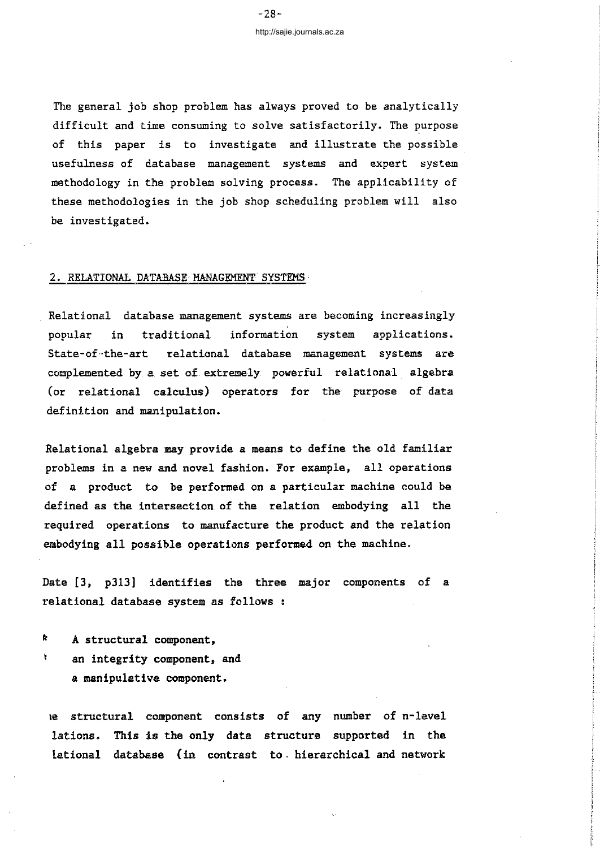The general job shop problem has always proved to be analytically difficult and time consuming to solve satisfactorily. The purpose of this paper is to investigate and illustrate the possible usefulness of database management systems and expert system methodology in the problem solving process. The applicability of these methodologies in the job shop scheduling problem will also be investigated.

#### 2. RELATIONAL DATABASE MANAGEMENT SYSTEMS

Relational database management systems are becoming increasingly popular in traditional information system applications. State-of-the-art relational database management systems are complemented by a set of extremely powerful relational algebra (or relational calculus) operators for the purpose of data definition and manipulation.

Relational algebra may provide a means to define the old familiar problems in a new and novel fashion. For example, all operations of a product to be performed on a particular machine could be defined as the intersection of the relation embodying all the required operations to manufacture the product and the relation embodying all possible operations performed on the machine.

Date [3, p313] identifies the three major components of a relational database system as follows :

 $\mathbf k$ A structural component,

 $\pmb{\mathfrak{r}}$ 

- an integrity component, and
	- a manipulative component.

Ie structural component consists of any number of n-level lations. This is the only data structure supported in the lational database (in contrast to. hierarchical and network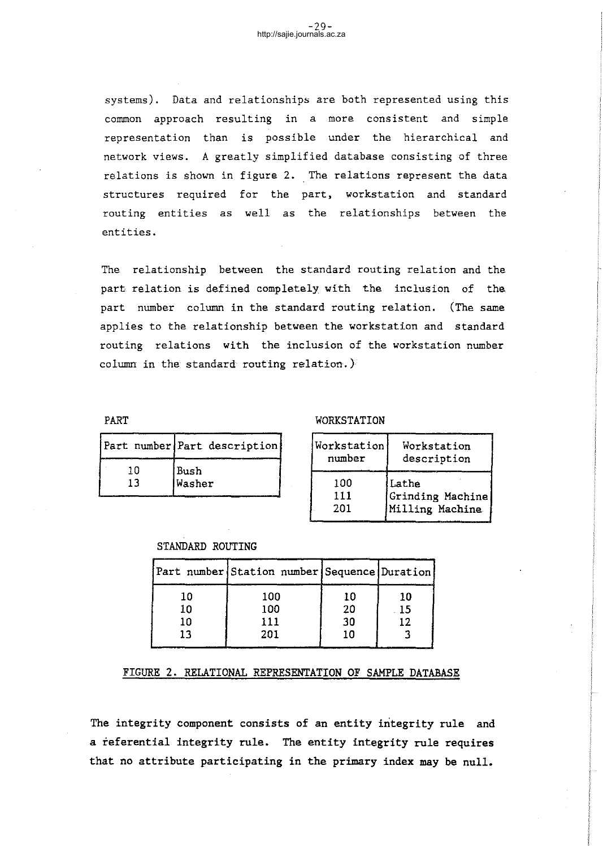systems). Data and relationships are both represented using this common approach resulting in a more consistent and simple representation than is possible under the hierarchical and network views. A greatly simplified database consisting of three relations is shown in figure 2. The relations represent the data structures required for the part, workstation and standard routing entities as well as the relationships between the entities.

The relationship between the standard routing relation and the part relation is defined completely with the inclusion of the part number column in the standard routing relation. (The same applies to the relationship between the workstation and standard routing relations with the inclusion of the workstation number column in the standard routing relation.)

PART

|     | Part number Part description |
|-----|------------------------------|
| ח ו | Bush                         |
| 13  | Washer                       |

### WORKSTATION

| Workstation | Workstation      |
|-------------|------------------|
| number      | description      |
| 100         | Lathe            |
| 111         | Grinding Machine |
| 201         | Milling Machine  |

## STANDARD ROUTING

|    | Part number Station number Sequence Duration |    |    |
|----|----------------------------------------------|----|----|
| 10 | 100                                          | 10 | 10 |
| 10 | 100                                          | 20 | 15 |
| 10 | 111                                          | 30 | 17 |
| 13 | 201                                          | 10 |    |
|    |                                              |    |    |

## FIGURE 2. RELATIONAL REPRESENTATION OF SAMPLE DATABASE

The integrity component consists of an entity integrity rule and a referential integrity rule. The entity integrity rule requires that no attribute participating in the primary index may be null.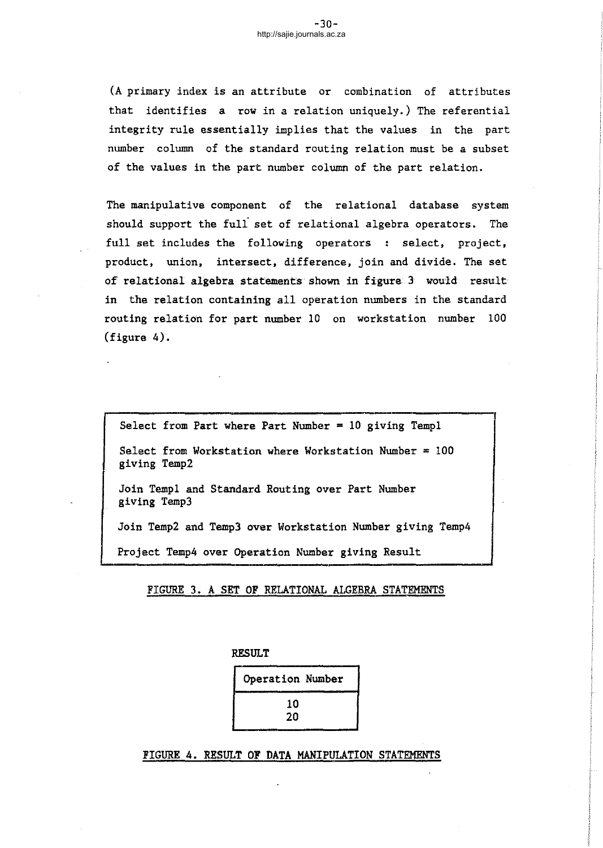(A primary index is an attribute or combination of attributes that identifies a row in a relation uniquely.) The referential integrity rule essentially implies that the values in the part number column of the standard routing relation must be a subset of the values in the part number column of the part relation.

The manipulative component of the relational database system should support the full set of relational algebra operators. The full set includes the following operators : select, project, product, union, intersect, difference, join and divide. The set of relational algebra statements shown in figure 3 would result in the relation containing all operation numbers in the standard routing relation for part number 10 on workstation number 100 (figure 4).

Select from Part where Part Number  $= 10$  giving Templ

Select from Workstation where Workstation Number  $=100$ giving Temp2

Join TempI and Standard Routing over Part Number giving Temp3

Join Temp2 and Temp3 over Workstation Number giving Temp4

Project Temp4 over Operation Number giving Result

FIGURE 3. A SET OF RELATIONAL ALGEBRA STATEMENTS

RESULT

Operation Number 10 20

FIGURE 4. RESULT OF DATA MANIPULATION STATEMENTS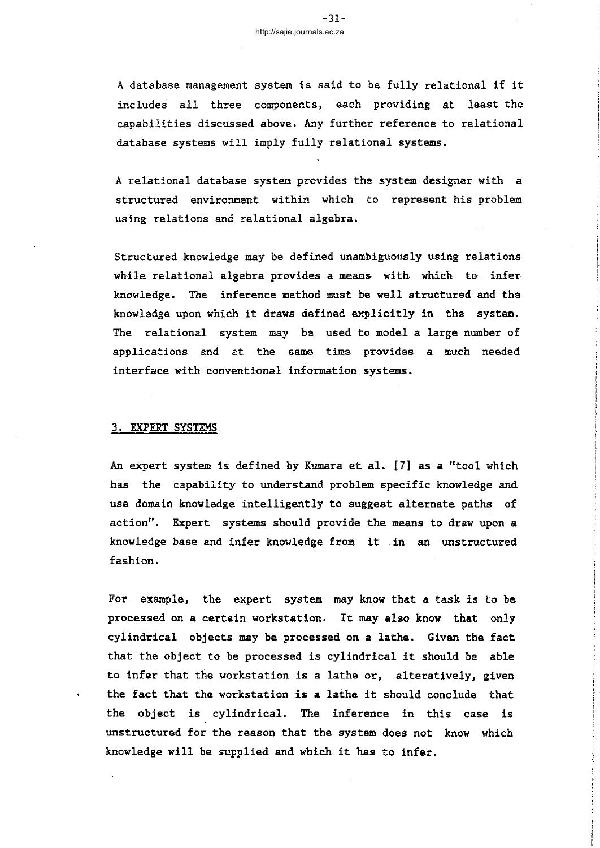<sup>A</sup> database management system is said to be fully relational if it includes all three components, each providing at least the capabilities discussed above. Any further reference to relational database systems will imply fully relational systems.

A relational database system provides the system designer with a structured environment within which to represent his problem using relations and relational algebra.

Structured knowledge may be defined unambiguously using relations while relational algebra provides a means with which to inferknowledge. The inference method must be well structured and the knowledge upon which it draws defined explicitly in the system. The relational system may be used to model a large number of applications and at the same time provides a much needed interface with conventional information systems.

## 3. EXPERT SYSTEMS

An expert system is defined by Kumara et al. [7} as a "tool which has the capability to understand problem specific knowledge and use domain knowledge intelligently to suggest alternate paths of action". Expert systems should provide the means to draw upon a knowledge base and infer knowledge from it in an unstructured fashion.

For example, the expert system may know that a task is to be processed on <sup>a</sup> certain workstation. It may also know that only cylindrical objects may be processed on a lathe. Given the fact that the object to be processed is cylindrical it should be able to infer that the workstation is a lathe or, alteratively, given the fact that the workstation is <sup>a</sup> lathe it should conclude that the object is cylindrical. The inference in this case is unstructured for the reason that the system does not know which knowledge will be supplied and which it has to infer.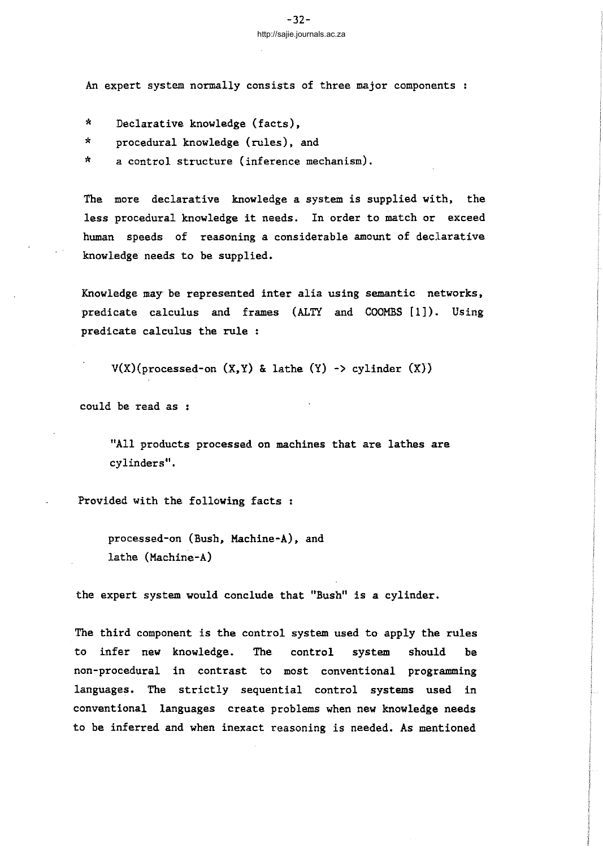An expert system normally consists of three major components

- \* Declarative knowledge (facts),
- \* procedural knowledge (rules), and
- \* a control structure (inference mechanism).

The more declarative knowledge a system is supplied with, the less procedural knowledge it needs. In order to match or exceed human speeds of reasoning a considerable amount of declarative knowledge needs to be supplied.

Knowledge may be represented inter alia using semantic networks, predicate calculus and frames (ALTY and COOMBS [1]). Using predicate calculus the rule :

 $V(X)(processed-on (X, Y) & lathe (Y) \rightarrow cylinder (X))$ 

could be read as

"All products processed on machines that are lathes are cylinders".

Provided with the following facts :

processed-on (Bush, Machine-A), and lathe (Machine-A)

the expert system would conclude that "Bush" is a cylinder.

The third component is the control system used to apply the rules to infer new knowledge. The control system should be non-procedural in contrast to most conventional programming languages. The strictly sequential control systems used in conventional languages create problems when new knowledge needs to be inferred and when inexact reasoning is needed. As mentioned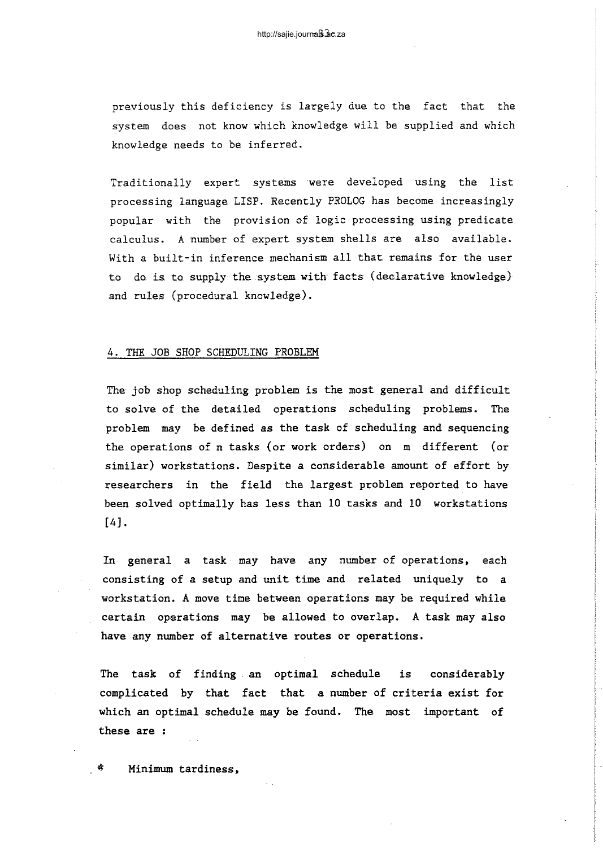previously this deficiency is largely due to the fact that the system does not know which knowledge will be supplied and which knowledge needs to be inferred.

Traditionally expert systems were developed using the list processing language LISP. Recently PROLOG has become increasingly popular with the provision of logic processing using predicate calculus. A number of expert system shells are also available. With a built-in inference mechanism all that remains for the user to do is to supply the system with facts (declarative knowledge) and rules (procedural knowledge).

### 4. THE JOB SHOP SCHEDULING PROBLEM

The job shop scheduling problem is the most general and difficult to solve of the detailed operations scheduling problems. The problem may be defined as the task of scheduling and sequencing the operations of n tasks (or work orders) on m different (or similar) workstations. Despite a considerable amount of effort by researchers in the field the largest problem reported to have been solved optimally has less than 10 tasks and 10 workstations [4J.

In general a task may have any number of operations, each consisting of a setup and unit time and related uniquely to a workstation. A move time between operations may be required while certain operations may be allowed to overlap. A task may also have any number of alternative routes or operations.

The task of finding an optimal schedule is considerably complicated by that fact that a number of criteria exist for which an optimal schedule may be found. The most important of these are :

Minimum tardiness,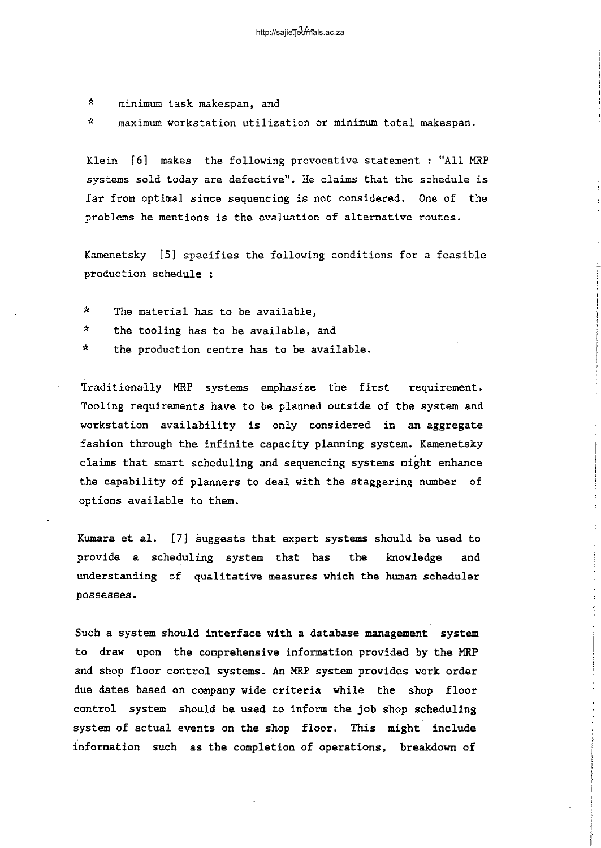\* minimum task makespan, and

\* maximum workstation utilization or minimum total makespan.

Klein [6] makes the following provocative statement : "All MRP systems sold today are defective". He claims that the schedule is far from optimal since sequencing is not considered. One of the problems he mentions is the evaluation of alternative routes.

Kamenetsky [5] specifies the following conditions for a feasible production schedule :

- \* The material has to be available,
- \* the tooling has to be available, and
- \* the production centre has to be available.

Traditionally MRP systems emphasize the first requirement. Tooling requirements have to be planned outside of the system and workstation availability is only considered in an aggregate fashion through the infinite capacity planning system. Kamenetsky claims that smart scheduling and sequencing systems might enhance the capability of planners to deal with the staggering number of options available to them.

Kumara et al. [7] suggests that expert systems should be used to provide a scheduling system that has the knowledge and understanding of qualitative measures which the human scheduler possesses.

Such a system should interface with a database management system to draw upon the comprehensive information provided by the MRP and shop floor control systems. An MRP system provides work order due dates based on company wide criteria while the shop floor control system should be used to inform the job shop scheduling system of actual events on the shop floor. This might include information such as the completion of operations, breakdown of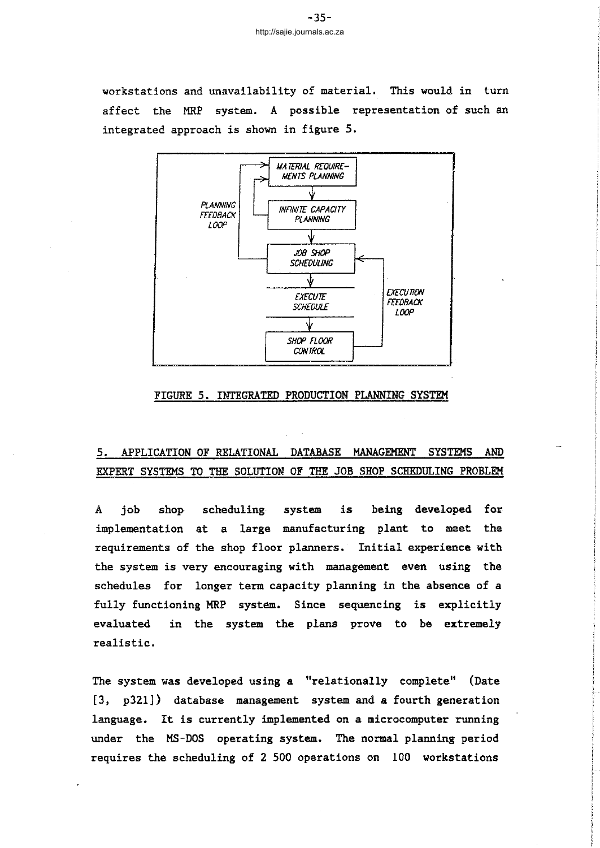workstations and unavailability of material. This would in turn affect the MRP system. A possible representation of such an integrated approach is shown in figure 5.



### FIGURE 5. INTEGRATED PRODUCTION PLANNING SYSTEM

## 5. APPLICATION OF RELATIONAL DATABASE MANAGEMENT SYSTEMS AND EXPERT SYSTEMS TO THE SOLUTION OF THE JOB SHOP SCHEDULING PROBLEM

A job shop scheduling system is being developed for implementation at a large manufacturing plant to meet the requirements of the shop floor planners. Initial experience with the system is very encouraging with management even using the schedules for longer term capacity planning in the absence of a fully functioning MRP system. Since sequencing is explicitly evaluated in the system the plans prove to be extremely realistic.

The system was developed using a "relationally complete" (Date [3, p32l]) database management system and a fourth generation language. It is currently implemented on <sup>a</sup> microcomputer running under the MS-DOS operating system. The normal planning period requires the scheduling of 2 500 operations on 100 workstations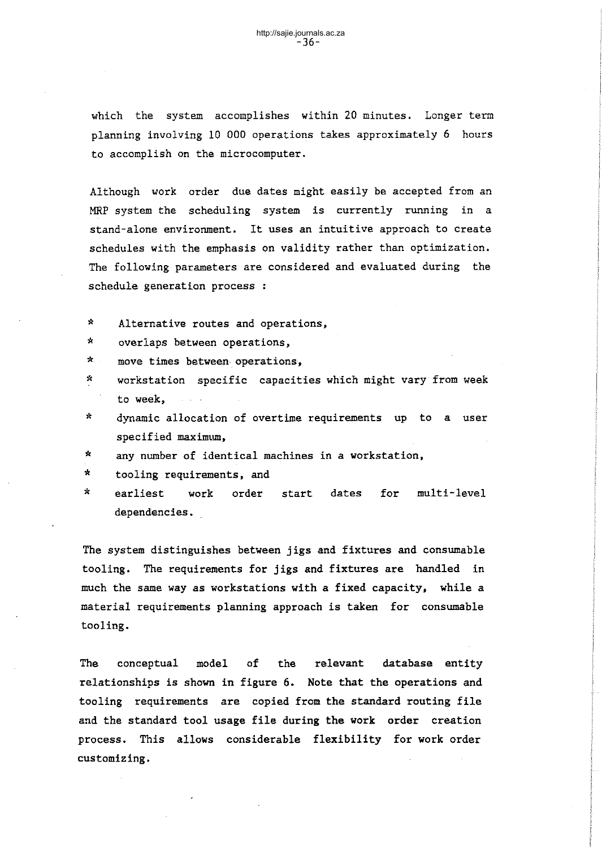which the system accomplishes within 20 minutes. Longer term planning involving 10 000 operations takes approximately 6 hours to accomplish on the microcomputer.

Although work order due dates might easily be accepted from an MRP system the scheduling system is currently running in a stand-alone environment. It uses an intuitive approach to create schedules with the emphasis on validity rather than optimization. The following parameters are considered and evaluated during the schedule generation process :

- \* Alternative routes and operations,
- \* overlaps between operations,
- \* move times between operations,
- \* workstation specific capacities which might vary from week to week,
- \* dynamic allocation of overtime requirements up to a user specified maximum,
- \* any number of identical machines in a workstation,
- \* tooling requirements, and
- \* earliest work order start dates for multi-level dependencies.

The system distinguishes between jigs and fixtures and consumable tooling. The requirements for jigs and fixtures are handled in much the same way as workstations with a fixed capacity, while a material requirements planning approach is taken for consumable tooling.

The conceptual model of the relevant database entity relationships is shown in figure 6. Note that the operations and tooling requirements are copied from the standard routing file and the standard tool usage file during the work order creation process. This allows considerable flexibility for work order customizing.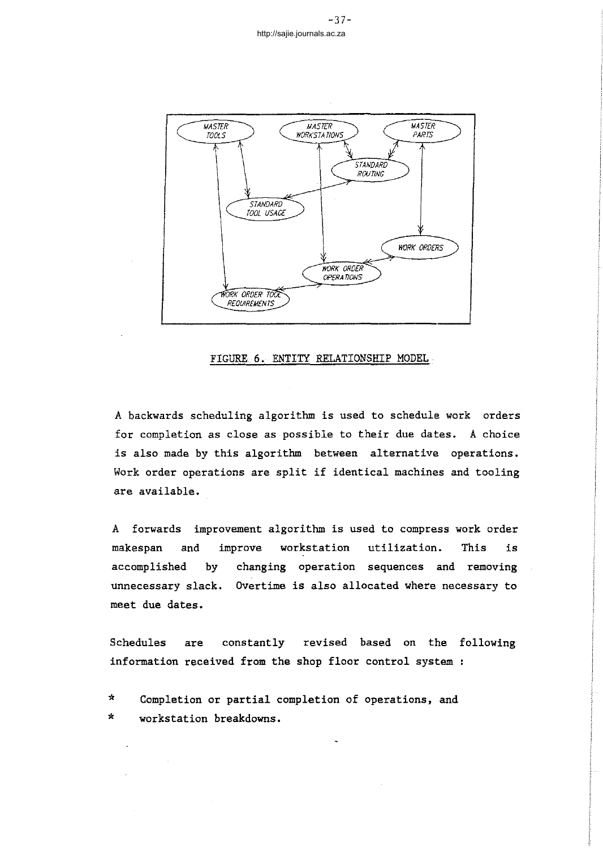

#### FIGURE 6. ENTITY RELATIONSHIP MODEL

A backwards scheduling algorithm is used to schedule work orders for completion as close as possible to their due dates. A choice is also made by this algorithm between alternative operations. Work order operations are split if identical machines and tooling are available.

A forwards improvement algorithm is used to compress work order makespan and improve workstation utilization. This is accomplished by changing operation sequences and removing unnecessary slack. Overtime is also allocated where necessary to meet due dates.

Schedules are constantly revised based on the following information received from the shop floor control system

\* \* Completion or partial completion of operations, and workstation breakdowns.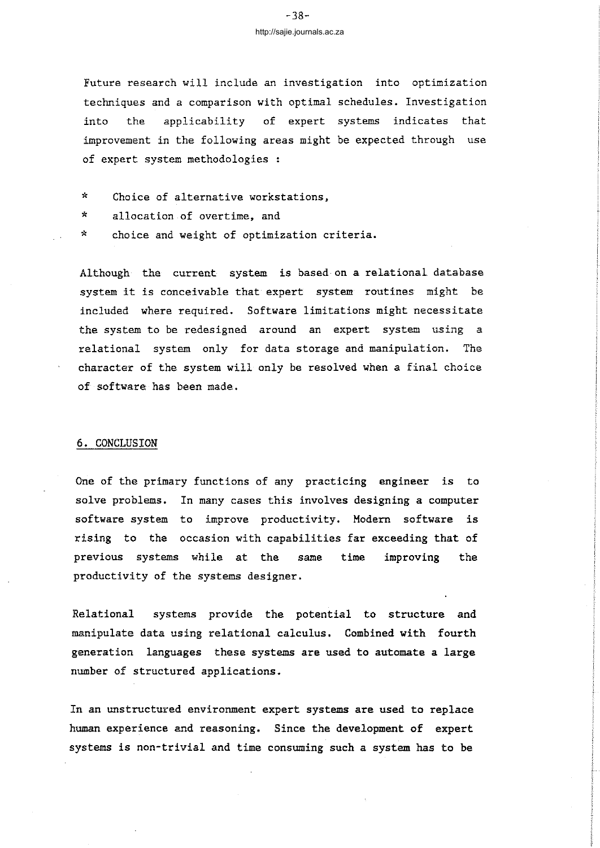## -38 http://sajie.journals.ac.za

Future research will include an investigation into optimization techniques and a comparison with optimal schedules. Investigation into the applicability of expert systems indicates that improvement in the following areas might be expected through use of expert system methodologies :

- \* Choice of alternative workstations,
- \* allocation of overtime, and
- \* choice and weight of optimization criteria.

Although the current system is based on a relational database system it is conceivable that expert system routines might be included where required. Software limitations might necessitate the system to be redesigned around an expert system using a relational system only for data storage and manipulation. The character of the system will only be resolved when a final choice of software has been made.

#### 6. CONCLUSION

One of the primary functions of any practicing engineer is to solve problems. In many cases this involves designing a computer software system to improve productivity. Modern software is rising to the occasion with capabilities far exceeding that of previous systems while at the same time improving the productivity of the systems designer.

Relational systems provide the potential to structure and manipulate data using relational calculus. Combined with fourth generation languages these systems are used to automate a large number of structured applications.

In an unstructured environment expert systems are used to replace human experience and reasoning. Since the development of expert systems is non-trivial and time consuming such a system has to be